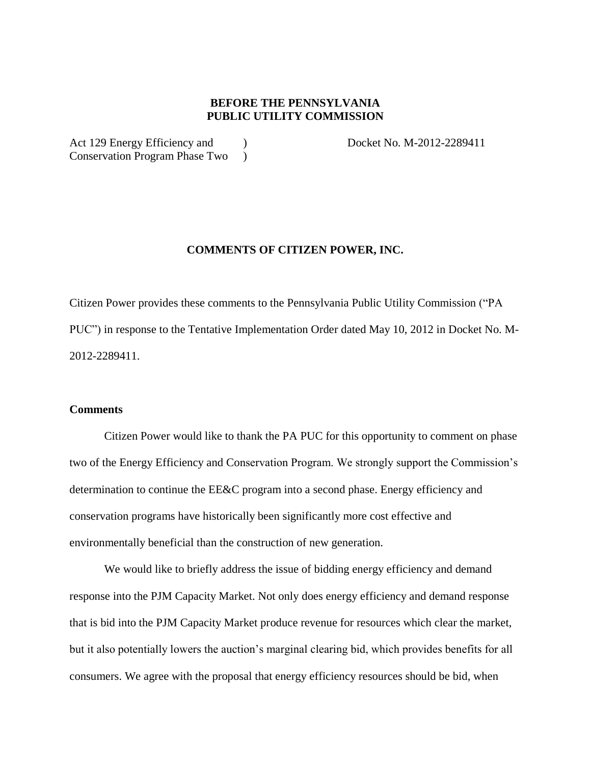## **BEFORE THE PENNSYLVANIA PUBLIC UTILITY COMMISSION**

Act 129 Energy Efficiency and (a) Bocket No. M-2012-2289411 Conservation Program Phase Two )

## **COMMENTS OF CITIZEN POWER, INC.**

Citizen Power provides these comments to the Pennsylvania Public Utility Commission ("PA PUC") in response to the Tentative Implementation Order dated May 10, 2012 in Docket No. M-2012-2289411.

## **Comments**

Citizen Power would like to thank the PA PUC for this opportunity to comment on phase two of the Energy Efficiency and Conservation Program. We strongly support the Commission's determination to continue the EE&C program into a second phase. Energy efficiency and conservation programs have historically been significantly more cost effective and environmentally beneficial than the construction of new generation.

We would like to briefly address the issue of bidding energy efficiency and demand response into the PJM Capacity Market. Not only does energy efficiency and demand response that is bid into the PJM Capacity Market produce revenue for resources which clear the market, but it also potentially lowers the auction's marginal clearing bid, which provides benefits for all consumers. We agree with the proposal that energy efficiency resources should be bid, when